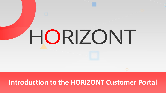# HORIZONT

# **Introduction to the HORIZONT Customer Portal**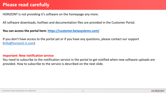## **Please read carefully**

HORIZONT is not providing it's software on the homepage any more.

All software downloads, hotfixes and documentation files are provided in the Customer Portal.

**You can access the portal here: <https://customer.betasystems.com/>**

If you don't have access to the portal yet or if you have any questions, please contact our support ([info@horizont-it.com](mailto:info@horizont-it.com)).

### **Important: New notification service**

You need to subscribe to the notification service in the portal to get notified when new software uploads are provided. How to subscribe to the service is described on the next slide.

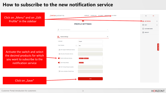### **How to subscribe to the new notification service**

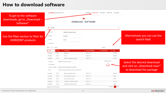### **How to download software**

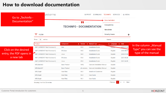### **How to download documentation**